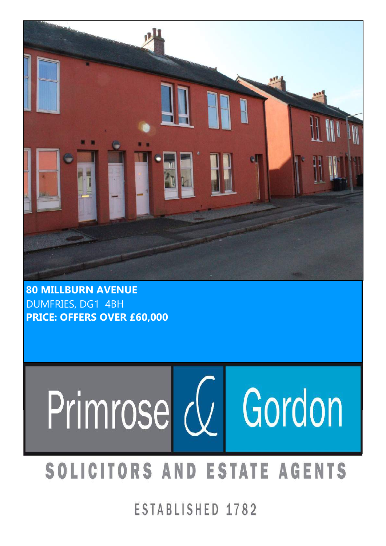

**80 MILLBURN AVENUE** DUMFRIES, DG1 4BH **PRICE: OFFERS OVER £60,000**

## name voor ver 555 555 5555 55 555 555 5555 555 555 5555 555 555 5555 555 555 5555 Name Name Name 555 555 5555 555 555 5555 555 555 5555

# 555 555 5555 SOLICITORS AND ESTATE AGENTS

ESTABLISHED 1782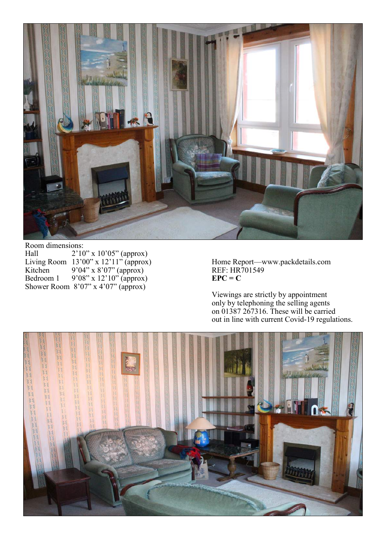

# Room dimensions:

Hall 2'10" x 10'05" (approx) Living Room 13'00" x 12'11" (approx) Home Report—www.packdetails.com Kitchen 9'04" x 8'07" (approx) REF: HR701549 Bedroom 1 9'08" x 12'10" (approx) **EPC** = **C** Shower Room 8'07" x 4'07" (approx)

Viewings are strictly by appointment only by telephoning the selling agents on 01387 267316. These will be carried out in line with current Covid-19 regulations.

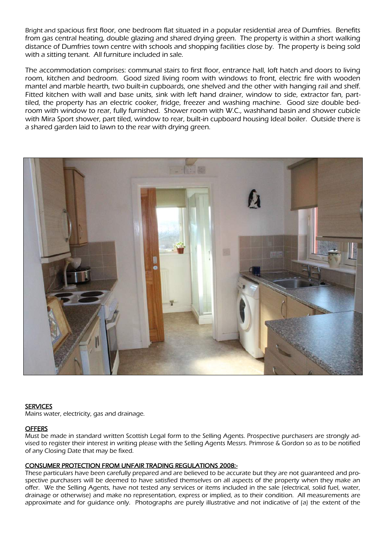Bright and spacious first floor, one bedroom flat situated in a popular residential area of Dumfries. Benefits from gas central heating, double glazing and shared drying green. The property is within a short walking distance of Dumfries town centre with schools and shopping facilities close by. The property is being sold with a sitting tenant. All furniture included in sale.

The accommodation comprises: communal stairs to first floor, entrance hall, loft hatch and doors to living room, kitchen and bedroom. Good sized living room with windows to front, electric fire with wooden mantel and marble hearth, two built-in cupboards, one shelved and the other with hanging rail and shelf. Fitted kitchen with wall and base units, sink with left hand drainer, window to side, extractor fan, parttiled, the property has an electric cooker, fridge, freezer and washing machine. Good size double bedroom with window to rear, fully furnished. Shower room with W.C., washhand basin and shower cubicle with Mira Sport shower, part tiled, window to rear, built-in cupboard housing Ideal boiler. Outside there is a shared garden laid to lawn to the rear with drying green.



## **SERVICES**

Mains water, electricity, gas and drainage.

#### **OFFERS**

Must be made in standard written Scottish Legal form to the Selling Agents. Prospective purchasers are strongly advised to register their interest in writing please with the Selling Agents Messrs. Primrose & Gordon so as to be notified of any Closing Date that may be fixed.

#### CONSUMER PROTECTION FROM UNFAIR TRADING REGULATIONS 2008:-

These particulars have been carefully prepared and are believed to be accurate but they are not guaranteed and prospective purchasers will be deemed to have satisfied themselves on all aspects of the property when they make an offer. We the Selling Agents, have not tested any services or items included in the sale (electrical, solid fuel, water, drainage or otherwise) and make no representation, express or implied, as to their condition. All measurements are approximate and for guidance only. Photographs are purely illustrative and not indicative of (a) the extent of the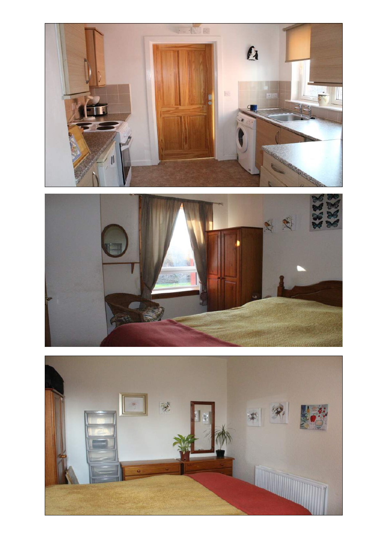



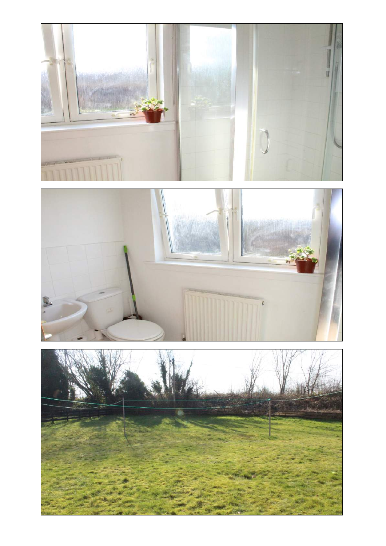